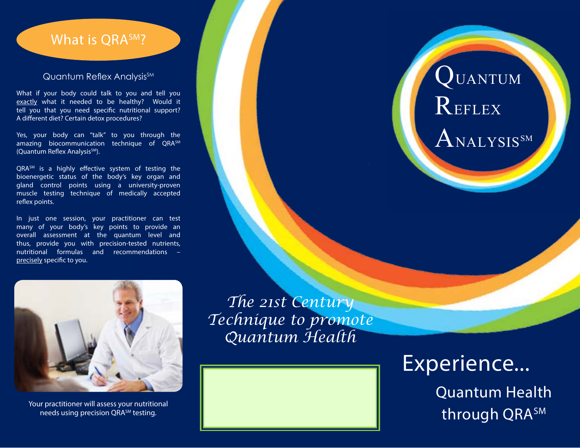## What is QRASM?

#### Quantum Reflex Analysis<sup>SM</sup>

What if your body could talk to you and tell you exactly what it needed to be healthy? Would it tell you that you need specific nutritional support? A different diet? Certain detox procedures?

Yes, your body can "talk" to you through the amazing biocommunication technique of QRASM (Quantum Reflex Analysis<sup>SM</sup>).

QRA<sup>SM</sup> is a highly effective system of testing the bioenergetic status of the body's key organ and gland control points using a university-proven muscle testing technique of medically accepted reflex points.

In just one session, your practitioner can test many of your body's key points to provide an overall assessment at the quantum level and thus, provide you with precision-tested nutrients, nutritional formulas and recommendations – precisely specific to you.

# QUANTUM **REFLEX**  $\mathrm{A}_{\mathrm{NALYSIS}^{\mathrm{SM}}}$



needs using precision QRA<sup>SM</sup> testing.

*The 21st Century Technique to promote Quantum Health*



Experience... Quantum Health